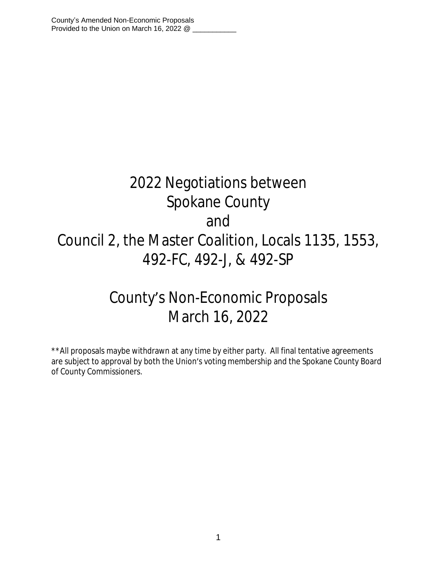# 2022 Negotiations between Spokane County and Council 2, the Master Coalition, Locals 1135, 1553, 492-FC, 492-J, & 492-SP

## County's Non-Economic Proposals March 16, 2022

\*\*All proposals maybe withdrawn at any time by either party. All final tentative agreements are subject to approval by both the Union's voting membership and the Spokane County Board of County Commissioners.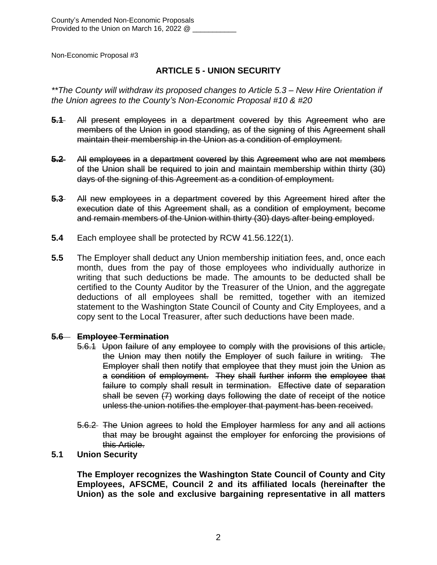## **ARTICLE 5 - UNION SECURITY**

*\*\*The County will withdraw its proposed changes to Article 5.3 – New Hire Orientation if the Union agrees to the County's Non-Economic Proposal #10 & #20*

- **5.1** All present employees in a department covered by this Agreement who are members of the Union in good standing, as of the signing of this Agreement shall maintain their membership in the Union as a condition of employment.
- **5.2** All employees in a department covered by this Agreement who are not members of the Union shall be required to join and maintain membership within thirty (30) days of the signing of this Agreement as a condition of employment.
- **5.3** All new employees in a department covered by this Agreement hired after the execution date of this Agreement shall, as a condition of employment, become and remain members of the Union within thirty (30) days after being employed.
- **5.4** Each employee shall be protected by RCW 41.56.122(1).
- **5.5** The Employer shall deduct any Union membership initiation fees, and, once each month, dues from the pay of those employees who individually authorize in writing that such deductions be made. The amounts to be deducted shall be certified to the County Auditor by the Treasurer of the Union, and the aggregate deductions of all employees shall be remitted, together with an itemized statement to the Washington State Council of County and City Employees, and a copy sent to the Local Treasurer, after such deductions have been made.

## **5.6 Employee Termination**

- 5.6.1 Upon failure of any employee to comply with the provisions of this article, the Union may then notify the Employer of such failure in writing. The Employer shall then notify that employee that they must join the Union as a condition of employment. They shall further inform the employee that failure to comply shall result in termination. Effective date of separation shall be seven (7) working days following the date of receipt of the notice unless the union notifies the employer that payment has been received.
- 5.6.2 The Union agrees to hold the Employer harmless for any and all actions that may be brought against the employer for enforcing the provisions of this Article.

## **5.1 Union Security**

**The Employer recognizes the Washington State Council of County and City Employees, AFSCME, Council 2 and its affiliated locals (hereinafter the Union) as the sole and exclusive bargaining representative in all matters**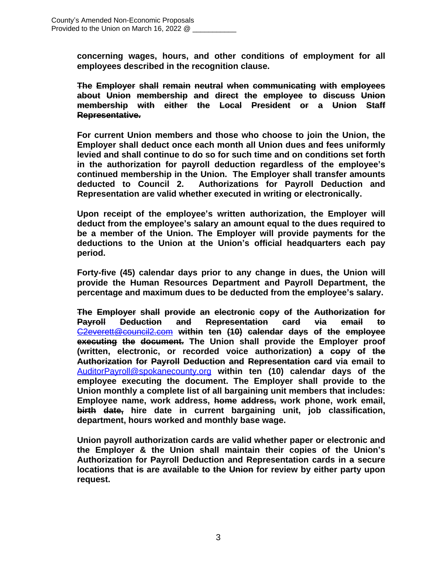**concerning wages, hours, and other conditions of employment for all employees described in the recognition clause.**

**The Employer shall remain neutral when communicating with employees about Union membership and direct the employee to discuss Union membership with either the Local President or a Union Staff Representative.**

**For current Union members and those who choose to join the Union, the Employer shall deduct once each month all Union dues and fees uniformly levied and shall continue to do so for such time and on conditions set forth in the authorization for payroll deduction regardless of the employee's continued membership in the Union. The Employer shall transfer amounts deducted to Council 2. Authorizations for Payroll Deduction and Representation are valid whether executed in writing or electronically.**

**Upon receipt of the employee's written authorization, the Employer will deduct from the employee's salary an amount equal to the dues required to be a member of the Union. The Employer will provide payments for the deductions to the Union at the Union's official headquarters each pay period.** 

**Forty-five (45) calendar days prior to any change in dues, the Union will provide the Human Resources Department and Payroll Department, the percentage and maximum dues to be deducted from the employee's salary.**

**The Employer shall provide an electronic copy of the Authorization for Payroll Deduction and Representation card via email to** [C2everett@council2.com](mailto:C2everett@council2.com) **within ten (10) calendar days of the employee executing the document. The Union shall provide the Employer proof (written, electronic, or recorded voice authorization) a copy of the Authorization for Payroll Deduction and Representation card via email to** [AuditorPayroll@spokanecounty.org](mailto:AuditorPayroll@spokanecounty.org) **within ten (10) calendar days of the employee executing the document. The Employer shall provide to the Union monthly a complete list of all bargaining unit members that includes: Employee name, work address, home address, work phone, work email, birth date, hire date in current bargaining unit, job classification, department, hours worked and monthly base wage.**

**Union payroll authorization cards are valid whether paper or electronic and the Employer & the Union shall maintain their copies of the Union's Authorization for Payroll Deduction and Representation cards in a secure locations that is are available to the Union for review by either party upon request.**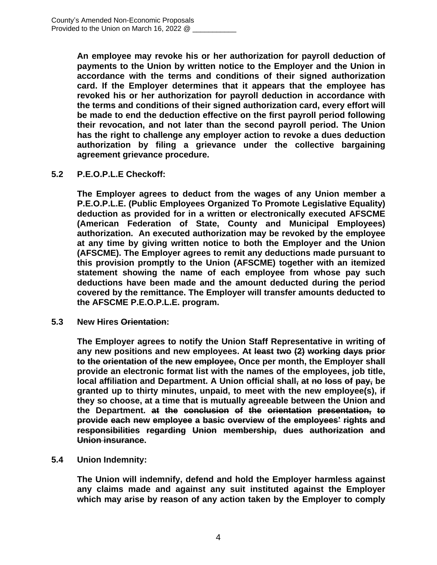**An employee may revoke his or her authorization for payroll deduction of payments to the Union by written notice to the Employer and the Union in accordance with the terms and conditions of their signed authorization card. If the Employer determines that it appears that the employee has revoked his or her authorization for payroll deduction in accordance with the terms and conditions of their signed authorization card, every effort will be made to end the deduction effective on the first payroll period following their revocation, and not later than the second payroll period. The Union has the right to challenge any employer action to revoke a dues deduction authorization by filing a grievance under the collective bargaining agreement grievance procedure.**

## **5.2 P.E.O.P.L.E Checkoff:**

**The Employer agrees to deduct from the wages of any Union member a P.E.O.P.L.E. (Public Employees Organized To Promote Legislative Equality) deduction as provided for in a written or electronically executed AFSCME (American Federation of State, County and Municipal Employees) authorization. An executed authorization may be revoked by the employee at any time by giving written notice to both the Employer and the Union (AFSCME). The Employer agrees to remit any deductions made pursuant to this provision promptly to the Union (AFSCME) together with an itemized statement showing the name of each employee from whose pay such deductions have been made and the amount deducted during the period covered by the remittance. The Employer will transfer amounts deducted to the AFSCME P.E.O.P.L.E. program.**

**5.3 New Hires Orientation:**

**The Employer agrees to notify the Union Staff Representative in writing of any new positions and new employees. At least two (2) working days prior to the orientation of the new employee, Once per month, the Employer shall provide an electronic format list with the names of the employees, job title, local affiliation and Department. A Union official shall, at no loss of pay, be granted up to thirty minutes, unpaid, to meet with the new employee(s), if they so choose, at a time that is mutually agreeable between the Union and the Department. at the conclusion of the orientation presentation, to provide each new employee a basic overview of the employees' rights and responsibilities regarding Union membership, dues authorization and Union insurance.**

## **5.4 Union Indemnity:**

**The Union will indemnify, defend and hold the Employer harmless against any claims made and against any suit instituted against the Employer which may arise by reason of any action taken by the Employer to comply**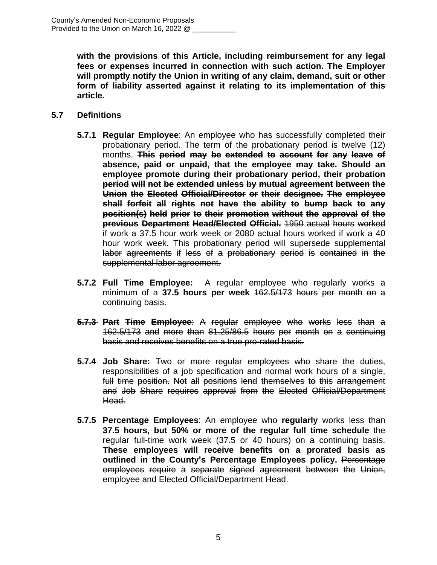**with the provisions of this Article, including reimbursement for any legal fees or expenses incurred in connection with such action. The Employer will promptly notify the Union in writing of any claim, demand, suit or other form of liability asserted against it relating to its implementation of this article.**

#### **5.7 Definitions**

- **5.7.1 Regular Employee**: An employee who has successfully completed their probationary period. The term of the probationary period is twelve (12) months. **This period may be extended to account for any leave of absence, paid or unpaid, that the employee may take. Should an employee promote during their probationary period, their probation period will not be extended unless by mutual agreement between the Union the Elected Official/Director or their designee. The employee shall forfeit all rights not have the ability to bump back to any position(s) held prior to their promotion without the approval of the previous Department Head/Elected Official.** 1950 actual hours worked if work a 37.5 hour work week or 2080 actual hours worked if work a 40 hour work week. This probationary period will supersede supplemental labor agreements if less of a probationary period is contained in the supplemental labor agreement.
- **5.7.2 Full Time Employee:** A regular employee who regularly works a minimum of a **37.5 hours per week** 162.5/173 hours per month on a continuing basis.
- **5.7.3 Part Time Employee**: A regular employee who works less than a 162.5/173 and more than 81.25/86.5 hours per month on a continuing basis and receives benefits on a true pro-rated basis.
- **5.7.4 Job Share:** Two or more regular employees who share the duties, responsibilities of a job specification and normal work hours of a single, full time position. Not all positions lend themselves to this arrangement and Job Share requires approval from the Elected Official/Department Head.
- **5.7.5 Percentage Employees**: An employee who **regularly** works less than **37.5 hours, but 50% or more of the regular full time schedule** the regular full-time work week (37.5 or 40 hours) on a continuing basis. **These employees will receive benefits on a prorated basis as outlined in the County's Percentage Employees policy.** Percentage employees require a separate signed agreement between the Union, employee and Elected Official/Department Head.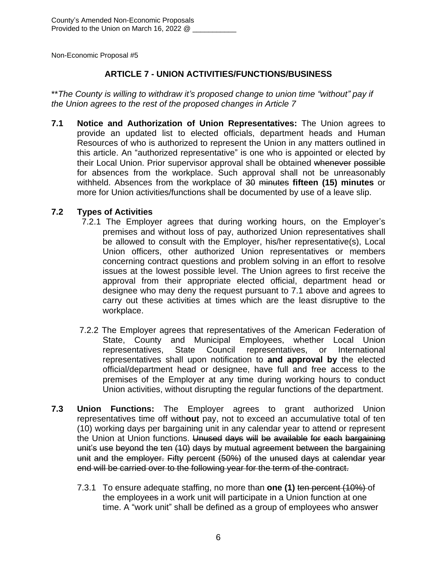## **ARTICLE 7 - UNION ACTIVITIES/FUNCTIONS/BUSINESS**

\*\**The County is willing to withdraw it's proposed change to union time "without" pay if the Union agrees to the rest of the proposed changes in Article 7*

**7.1 Notice and Authorization of Union Representatives:** The Union agrees to provide an updated list to elected officials, department heads and Human Resources of who is authorized to represent the Union in any matters outlined in this article. An "authorized representative" is one who is appointed or elected by their Local Union. Prior supervisor approval shall be obtained whenever possible for absences from the workplace. Such approval shall not be unreasonably withheld. Absences from the workplace of 30 minutes **fifteen (15) minutes** or more for Union activities/functions shall be documented by use of a leave slip.

## **7.2 Types of Activities**

- 7.2.1 The Employer agrees that during working hours, on the Employer's premises and without loss of pay, authorized Union representatives shall be allowed to consult with the Employer, his/her representative(s), Local Union officers, other authorized Union representatives or members concerning contract questions and problem solving in an effort to resolve issues at the lowest possible level. The Union agrees to first receive the approval from their appropriate elected official, department head or designee who may deny the request pursuant to 7.1 above and agrees to carry out these activities at times which are the least disruptive to the workplace.
- 7.2.2 The Employer agrees that representatives of the American Federation of State, County and Municipal Employees, whether Local Union representatives, State Council representatives, or International representatives shall upon notification to **and approval by** the elected official/department head or designee, have full and free access to the premises of the Employer at any time during working hours to conduct Union activities, without disrupting the regular functions of the department.
- **7.3 Union Functions:** The Employer agrees to grant authorized Union representatives time off with**out** pay, not to exceed an accumulative total of ten (10) working days per bargaining unit in any calendar year to attend or represent the Union at Union functions. Unused days will be available for each bargaining unit's use beyond the ten (10) days by mutual agreement between the bargaining unit and the employer. Fifty percent (50%) of the unused days at calendar year end will be carried over to the following year for the term of the contract.
	- 7.3.1 To ensure adequate staffing, no more than **one (1)** ten percent (10%) of the employees in a work unit will participate in a Union function at one time. A "work unit" shall be defined as a group of employees who answer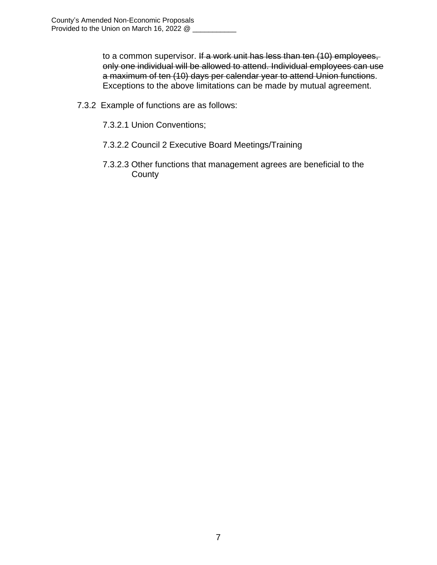to a common supervisor. If a work unit has less than ten (10) employees, only one individual will be allowed to attend. Individual employees can use a maximum of ten (10) days per calendar year to attend Union functions. Exceptions to the above limitations can be made by mutual agreement.

- 7.3.2 Example of functions are as follows:
	- 7.3.2.1 Union Conventions;
	- 7.3.2.2 Council 2 Executive Board Meetings/Training
	- 7.3.2.3 Other functions that management agrees are beneficial to the **County**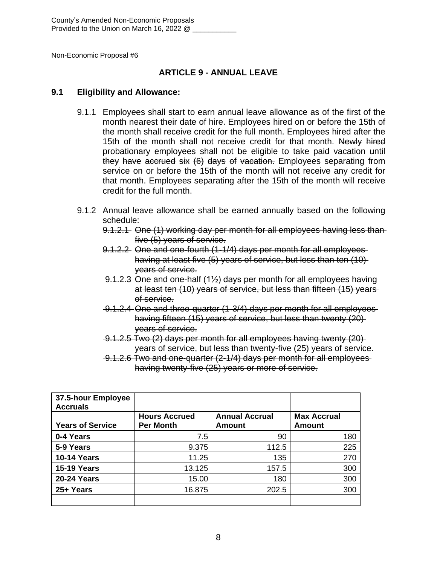## **ARTICLE 9 - ANNUAL LEAVE**

#### **9.1 Eligibility and Allowance:**

- 9.1.1 Employees shall start to earn annual leave allowance as of the first of the month nearest their date of hire. Employees hired on or before the 15th of the month shall receive credit for the full month. Employees hired after the 15th of the month shall not receive credit for that month. Newly hired probationary employees shall not be eligible to take paid vacation until they have accrued six (6) days of vacation. Employees separating from service on or before the 15th of the month will not receive any credit for that month. Employees separating after the 15th of the month will receive credit for the full month.
- 9.1.2 Annual leave allowance shall be earned annually based on the following schedule:
	- 9.1.2.1 One (1) working day per month for all employees having less than five (5) years of service.
	- 9.1.2.2 One and one-fourth (1-1/4) days per month for all employees having at least five (5) years of service, but less than ten (10) years of service.
	- 9.1.2.3 One and one-half (1½) days per month for all employees having at least ten (10) years of service, but less than fifteen (15) years of service.
	- 9.1.2.4 One and three-quarter (1-3/4) days per month for all employees having fifteen (15) years of service, but less than twenty (20) years of service.
	- 9.1.2.5 Two (2) days per month for all employees having twenty (20) years of service, but less than twenty-five (25) years of service.
	- 9.1.2.6 Two and one-quarter (2-1/4) days per month for all employees having twenty-five (25) years or more of service.

| 37.5-hour Employee<br><b>Accruals</b> |                                          |                                 |                                     |
|---------------------------------------|------------------------------------------|---------------------------------|-------------------------------------|
| <b>Years of Service</b>               | <b>Hours Accrued</b><br><b>Per Month</b> | <b>Annual Accrual</b><br>Amount | <b>Max Accrual</b><br><b>Amount</b> |
|                                       |                                          |                                 |                                     |
| 0-4 Years                             | 7.5                                      | 90                              | 180                                 |
| 5-9 Years                             | 9.375                                    | 112.5                           | 225                                 |
| <b>10-14 Years</b>                    | 11.25                                    | 135                             | 270                                 |
| <b>15-19 Years</b>                    | 13.125                                   | 157.5                           | 300                                 |
| <b>20-24 Years</b>                    | 15.00                                    | 180                             | 300                                 |
| 25+ Years                             | 16.875                                   | 202.5                           | 300                                 |
|                                       |                                          |                                 |                                     |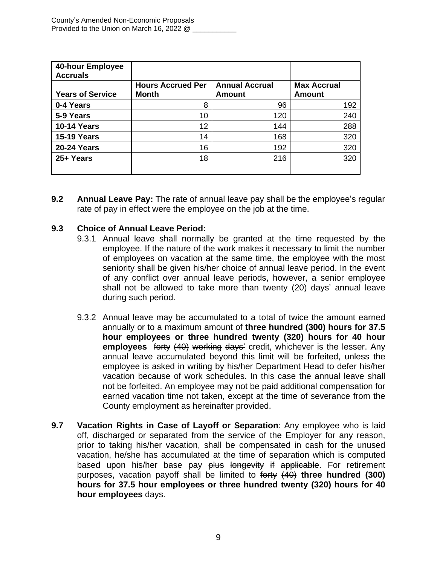| 40-hour Employee<br><b>Accruals</b> |                          |                       |                    |
|-------------------------------------|--------------------------|-----------------------|--------------------|
|                                     | <b>Hours Accrued Per</b> | <b>Annual Accrual</b> | <b>Max Accrual</b> |
| <b>Years of Service</b>             | <b>Month</b>             | <b>Amount</b>         | <b>Amount</b>      |
| 0-4 Years                           | 8                        | 96                    | 192                |
| 5-9 Years                           | 10                       | 120                   | 240                |
| <b>10-14 Years</b>                  | 12                       | 144                   | 288                |
| <b>15-19 Years</b>                  | 14                       | 168                   | 320                |
| <b>20-24 Years</b>                  | 16                       | 192                   | 320                |
| 25+ Years                           | 18                       | 216                   | 320                |
|                                     |                          |                       |                    |

**9.2 Annual Leave Pay:** The rate of annual leave pay shall be the employee's regular rate of pay in effect were the employee on the job at the time.

## **9.3 Choice of Annual Leave Period:**

- 9.3.1 Annual leave shall normally be granted at the time requested by the employee. If the nature of the work makes it necessary to limit the number of employees on vacation at the same time, the employee with the most seniority shall be given his/her choice of annual leave period. In the event of any conflict over annual leave periods, however, a senior employee shall not be allowed to take more than twenty (20) days' annual leave during such period.
- 9.3.2 Annual leave may be accumulated to a total of twice the amount earned annually or to a maximum amount of **three hundred (300) hours for 37.5 hour employees or three hundred twenty (320) hours for 40 hour employees** forty (40) working days' credit, whichever is the lesser. Any annual leave accumulated beyond this limit will be forfeited, unless the employee is asked in writing by his/her Department Head to defer his/her vacation because of work schedules. In this case the annual leave shall not be forfeited. An employee may not be paid additional compensation for earned vacation time not taken, except at the time of severance from the County employment as hereinafter provided.
- **9.7 Vacation Rights in Case of Layoff or Separation**: Any employee who is laid off, discharged or separated from the service of the Employer for any reason, prior to taking his/her vacation, shall be compensated in cash for the unused vacation, he/she has accumulated at the time of separation which is computed based upon his/her base pay plus longevity if applicable. For retirement purposes, vacation payoff shall be limited to forty (40) **three hundred (300) hours for 37.5 hour employees or three hundred twenty (320) hours for 40 hour employees** days.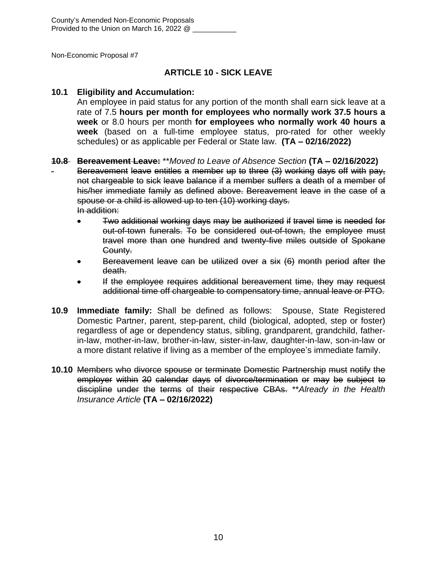## **ARTICLE 10 - SICK LEAVE**

#### **10.1 Eligibility and Accumulation:**

An employee in paid status for any portion of the month shall earn sick leave at a rate of 7.5 **hours per month for employees who normally work 37.5 hours a week** or 8.0 hours per month **for employees who normally work 40 hours a week** (based on a full-time employee status, pro-rated for other weekly schedules) or as applicable per Federal or State law. **(TA – 02/16/2022)**

#### **10.8 Bereavement Leave:** \*\**Moved to Leave of Absence Section* **(TA – 02/16/2022)**

Bereavement leave entitles a member up to three (3) working days off with pay, not chargeable to sick leave balance if a member suffers a death of a member of his/her immediate family as defined above. Bereavement leave in the case of a spouse or a child is allowed up to ten (10) working days. In addition:

- Two additional working days may be authorized if travel time is needed for out-of-town funerals. To be considered out-of-town, the employee must travel more than one hundred and twenty-five miles outside of Spokane County.
- Bereavement leave can be utilized over a six (6) month period after the death.
- If the employee requires additional bereavement time, they may request additional time off chargeable to compensatory time, annual leave or PTO.
- **10.9 Immediate family:** Shall be defined as follows: Spouse, State Registered Domestic Partner, parent, step-parent, child (biological, adopted, step or foster) regardless of age or dependency status, sibling, grandparent, grandchild, fatherin-law, mother-in-law, brother-in-law, sister-in-law, daughter-in-law, son-in-law or a more distant relative if living as a member of the employee's immediate family.
- **10.10** Members who divorce spouse or terminate Domestic Partnership must notify the employer within 30 calendar days of divorce/termination or may be subject to discipline under the terms of their respective CBAs. \*\**Already in the Health Insurance Article* **(TA – 02/16/2022)**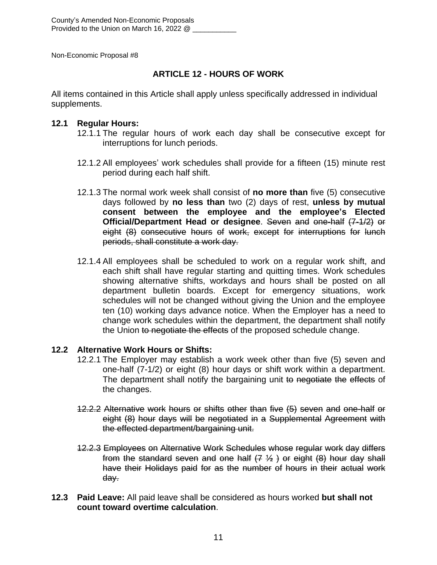## **ARTICLE 12 - HOURS OF WORK**

All items contained in this Article shall apply unless specifically addressed in individual supplements.

#### **12.1 Regular Hours:**

- 12.1.1 The regular hours of work each day shall be consecutive except for interruptions for lunch periods.
- 12.1.2 All employees' work schedules shall provide for a fifteen (15) minute rest period during each half shift.
- 12.1.3 The normal work week shall consist of **no more than** five (5) consecutive days followed by **no less than** two (2) days of rest, **unless by mutual consent between the employee and the employee's Elected Official/Department Head or designee**. Seven and one-half (7-1/2) or eight (8) consecutive hours of work, except for interruptions for lunch periods, shall constitute a work day.
- 12.1.4 All employees shall be scheduled to work on a regular work shift, and each shift shall have regular starting and quitting times. Work schedules showing alternative shifts, workdays and hours shall be posted on all department bulletin boards. Except for emergency situations, work schedules will not be changed without giving the Union and the employee ten (10) working days advance notice. When the Employer has a need to change work schedules within the department, the department shall notify the Union to negotiate the effects of the proposed schedule change.

## **12.2 Alternative Work Hours or Shifts:**

- 12.2.1 The Employer may establish a work week other than five (5) seven and one-half (7-1/2) or eight (8) hour days or shift work within a department. The department shall notify the bargaining unit to negotiate the effects of the changes.
- 12.2.2 Alternative work hours or shifts other than five (5) seven and one-half or eight (8) hour days will be negotiated in a Supplemental Agreement with the effected department/bargaining unit.
- 12.2.3 Employees on Alternative Work Schedules whose regular work day differs from the standard seven and one half  $(7, 1/2)$  or eight  $(8)$  hour day shall have their Holidays paid for as the number of hours in their actual work day.
- **12.3 Paid Leave:** All paid leave shall be considered as hours worked **but shall not count toward overtime calculation**.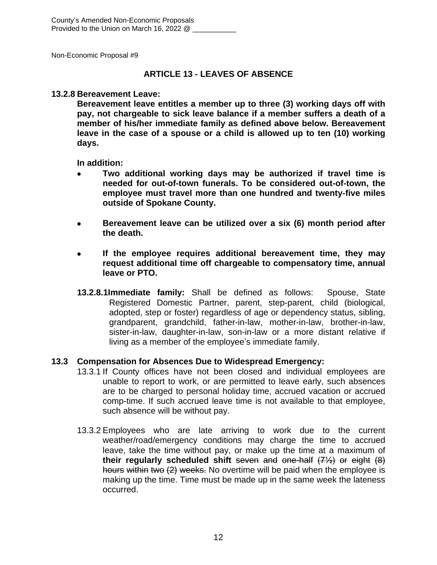#### **ARTICLE 13 - LEAVES OF ABSENCE**

#### **13.2.8 Bereavement Leave:**

**Bereavement leave entitles a member up to three (3) working days off with pay, not chargeable to sick leave balance if a member suffers a death of a member of his/her immediate family as defined above below. Bereavement leave in the case of a spouse or a child is allowed up to ten (10) working days.**

**In addition:**

- **Two additional working days may be authorized if travel time is needed for out-of-town funerals. To be considered out-of-town, the employee must travel more than one hundred and twenty-five miles outside of Spokane County.**
- **Bereavement leave can be utilized over a six (6) month period after the death.**
- **If the employee requires additional bereavement time, they may request additional time off chargeable to compensatory time, annual leave or PTO.**
- **13.2.8.1Immediate family:** Shall be defined as follows: Spouse, State Registered Domestic Partner, parent, step-parent, child (biological, adopted, step or foster) regardless of age or dependency status, sibling, grandparent, grandchild, father-in-law, mother-in-law, brother-in-law, sister-in-law, daughter-in-law, son-in-law or a more distant relative if living as a member of the employee's immediate family.

#### **13.3 Compensation for Absences Due to Widespread Emergency:**

- 13.3.1 If County offices have not been closed and individual employees are unable to report to work, or are permitted to leave early, such absences are to be charged to personal holiday time, accrued vacation or accrued comp-time. If such accrued leave time is not available to that employee, such absence will be without pay.
- 13.3.2 Employees who are late arriving to work due to the current weather/road/emergency conditions may charge the time to accrued leave, take the time without pay, or make up the time at a maximum of **their regularly scheduled shift** seven and one-half (7½) or eight (8) hours within two (2) weeks. No overtime will be paid when the employee is making up the time. Time must be made up in the same week the lateness occurred.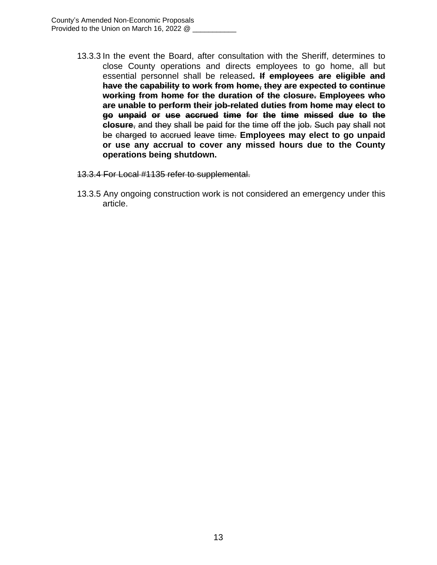- 13.3.3 In the event the Board, after consultation with the Sheriff, determines to close County operations and directs employees to go home, all but essential personnel shall be released**. If employees are eligible and have the capability to work from home, they are expected to continue working from home for the duration of the closure. Employees who are unable to perform their job-related duties from home may elect to go unpaid or use accrued time for the time missed due to the closure**, and they shall be paid for the time off the job. Such pay shall not be charged to accrued leave time. **Employees may elect to go unpaid or use any accrual to cover any missed hours due to the County operations being shutdown.**
- 13.3.4 For Local #1135 refer to supplemental.
- 13.3.5 Any ongoing construction work is not considered an emergency under this article.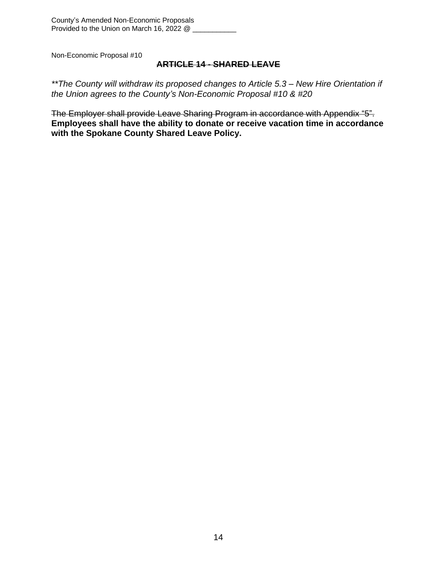## **ARTICLE 14 - SHARED LEAVE**

*\*\*The County will withdraw its proposed changes to Article 5.3 – New Hire Orientation if the Union agrees to the County's Non-Economic Proposal #10 & #20*

The Employer shall provide Leave Sharing Program in accordance with Appendix "5". **Employees shall have the ability to donate or receive vacation time in accordance with the Spokane County Shared Leave Policy.**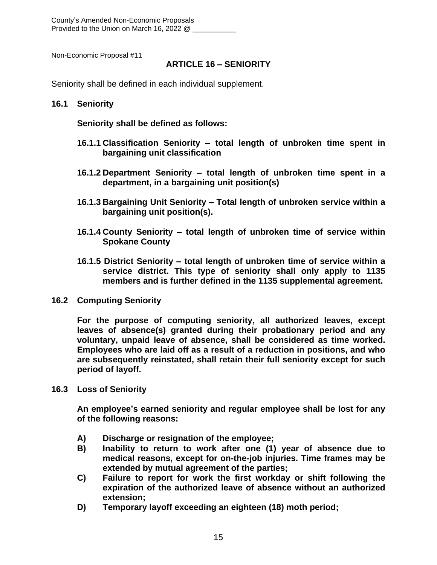County's Amended Non-Economic Proposals Provided to the Union on March 16, 2022 @

Non-Economic Proposal #11

#### **ARTICLE 16 – SENIORITY**

Seniority shall be defined in each individual supplement.

#### **16.1 Seniority**

**Seniority shall be defined as follows:**

- **16.1.1 Classification Seniority – total length of unbroken time spent in bargaining unit classification**
- **16.1.2 Department Seniority – total length of unbroken time spent in a department, in a bargaining unit position(s)**
- **16.1.3 Bargaining Unit Seniority – Total length of unbroken service within a bargaining unit position(s).**
- **16.1.4 County Seniority – total length of unbroken time of service within Spokane County**
- **16.1.5 District Seniority – total length of unbroken time of service within a service district. This type of seniority shall only apply to 1135 members and is further defined in the 1135 supplemental agreement.**
- **16.2 Computing Seniority**

**For the purpose of computing seniority, all authorized leaves, except leaves of absence(s) granted during their probationary period and any voluntary, unpaid leave of absence, shall be considered as time worked. Employees who are laid off as a result of a reduction in positions, and who are subsequently reinstated, shall retain their full seniority except for such period of layoff.**

**16.3 Loss of Seniority**

**An employee's earned seniority and regular employee shall be lost for any of the following reasons:**

- **A) Discharge or resignation of the employee;**
- **B) Inability to return to work after one (1) year of absence due to medical reasons, except for on-the-job injuries. Time frames may be extended by mutual agreement of the parties;**
- **C) Failure to report for work the first workday or shift following the expiration of the authorized leave of absence without an authorized extension;**
- **D) Temporary layoff exceeding an eighteen (18) moth period;**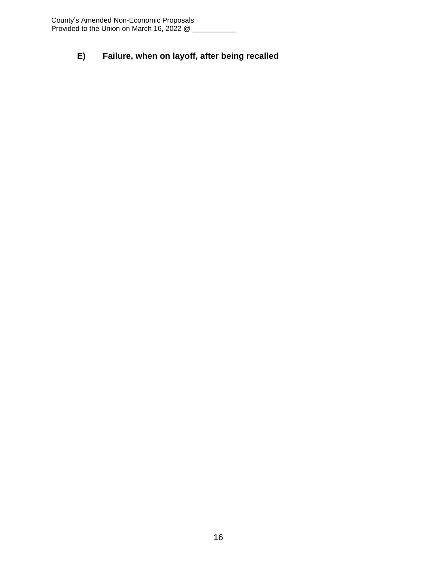## **E) Failure, when on layoff, after being recalled**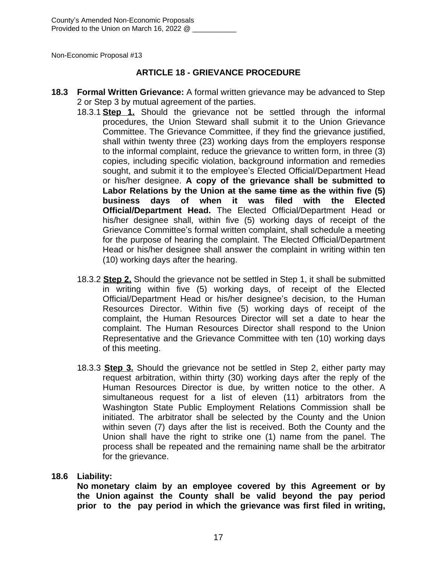#### **ARTICLE 18 - GRIEVANCE PROCEDURE**

- **18.3 Formal Written Grievance:** A formal written grievance may be advanced to Step 2 or Step 3 by mutual agreement of the parties.
	- 18.3.1 **Step 1.** Should the grievance not be settled through the informal procedures, the Union Steward shall submit it to the Union Grievance Committee. The Grievance Committee, if they find the grievance justified, shall within twenty three (23) working days from the employers response to the informal complaint, reduce the grievance to written form, in three (3) copies, including specific violation, background information and remedies sought, and submit it to the employee's Elected Official/Department Head or his/her designee. **A copy of the grievance shall be submitted to Labor Relations by the Union at the same time as the within five (5) business days of when it was filed with the Elected Official/Department Head.** The Elected Official/Department Head or his/her designee shall, within five (5) working days of receipt of the Grievance Committee's formal written complaint, shall schedule a meeting for the purpose of hearing the complaint. The Elected Official/Department Head or his/her designee shall answer the complaint in writing within ten (10) working days after the hearing.
	- 18.3.2 **Step 2.** Should the grievance not be settled in Step 1, it shall be submitted in writing within five (5) working days, of receipt of the Elected Official/Department Head or his/her designee's decision, to the Human Resources Director. Within five (5) working days of receipt of the complaint, the Human Resources Director will set a date to hear the complaint. The Human Resources Director shall respond to the Union Representative and the Grievance Committee with ten (10) working days of this meeting.
	- 18.3.3 **Step 3.** Should the grievance not be settled in Step 2, either party may request arbitration, within thirty (30) working days after the reply of the Human Resources Director is due, by written notice to the other. A simultaneous request for a list of eleven (11) arbitrators from the Washington State Public Employment Relations Commission shall be initiated. The arbitrator shall be selected by the County and the Union within seven (7) days after the list is received. Both the County and the Union shall have the right to strike one (1) name from the panel. The process shall be repeated and the remaining name shall be the arbitrator for the grievance.

#### **18.6 Liability:**

**No monetary claim by an employee covered by this Agreement or by the Union against the County shall be valid beyond the pay period prior to the pay period in which the grievance was first filed in writing,**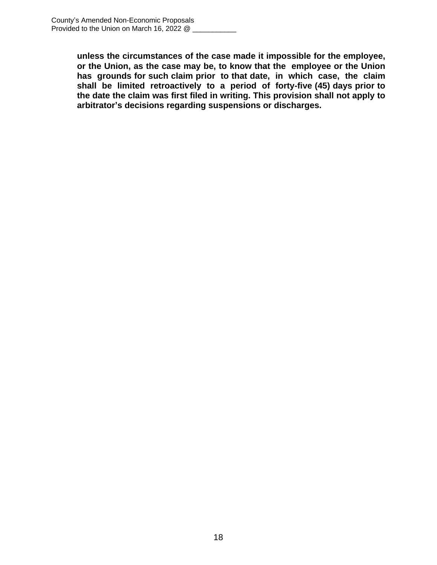**unless the circumstances of the case made it impossible for the employee, or the Union, as the case may be, to know that the employee or the Union has grounds for such claim prior to that date, in which case, the claim shall be limited retroactively to a period of forty-five (45) days prior to the date the claim was first filed in writing. This provision shall not apply to arbitrator's decisions regarding suspensions or discharges.**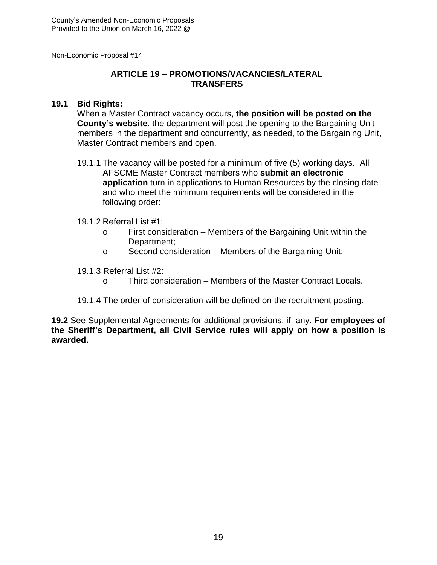## **ARTICLE 19 – PROMOTIONS/VACANCIES/LATERAL TRANSFERS**

#### **19.1 Bid Rights:**

When a Master Contract vacancy occurs, **the position will be posted on the County's website.** the department will post the opening to the Bargaining Unit members in the department and concurrently, as needed, to the Bargaining Unit, Master Contract members and open.

19.1.1 The vacancy will be posted for a minimum of five (5) working days. All AFSCME Master Contract members who **submit an electronic application** turn in applications to Human Resources by the closing date and who meet the minimum requirements will be considered in the following order:

#### 19.1.2 Referral List #1:

- o First consideration Members of the Bargaining Unit within the Department;
- o Second consideration Members of the Bargaining Unit;

#### 19.1.3 Referral List #2:

- o Third consideration Members of the Master Contract Locals.
- 19.1.4 The order of consideration will be defined on the recruitment posting.

**19.2** See Supplemental Agreements for additional provisions, if any. **For employees of the Sheriff's Department, all Civil Service rules will apply on how a position is awarded.**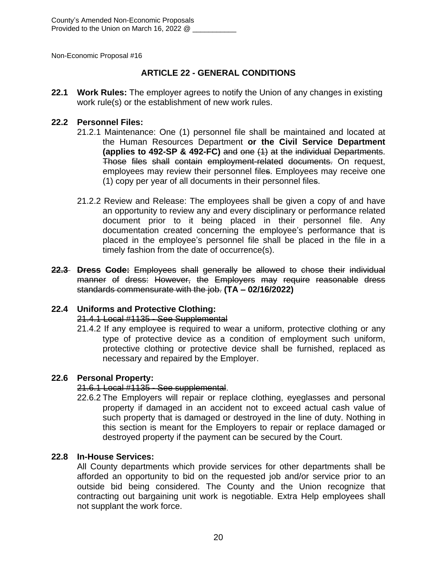## **ARTICLE 22 - GENERAL CONDITIONS**

**22.1 Work Rules:** The employer agrees to notify the Union of any changes in existing work rule(s) or the establishment of new work rules.

#### **22.2 Personnel Files:**

- 21.2.1 Maintenance: One (1) personnel file shall be maintained and located at the Human Resources Department **or the Civil Service Department (applies to 492-SP & 492-FC)** and one (1) at the individual Departments. Those files shall contain employment-related documents. On request, employees may review their personnel files. Employees may receive one (1) copy per year of all documents in their personnel files.
- 21.2.2 Review and Release: The employees shall be given a copy of and have an opportunity to review any and every disciplinary or performance related document prior to it being placed in their personnel file. Any documentation created concerning the employee's performance that is placed in the employee's personnel file shall be placed in the file in a timely fashion from the date of occurrence(s).
- **22.3 Dress Code:** Employees shall generally be allowed to chose their individual manner of dress: However, the Employers may require reasonable dress standards commensurate with the job. **(TA – 02/16/2022)**

## **22.4 Uniforms and Protective Clothing:**

## 21.4.1 Local #1135 - See Supplemental

21.4.2 If any employee is required to wear a uniform, protective clothing or any type of protective device as a condition of employment such uniform, protective clothing or protective device shall be furnished, replaced as necessary and repaired by the Employer.

## **22.6 Personal Property:**

## 21.6.1 Local #1135 - See supplemental.

22.6.2 The Employers will repair or replace clothing, eyeglasses and personal property if damaged in an accident not to exceed actual cash value of such property that is damaged or destroyed in the line of duty. Nothing in this section is meant for the Employers to repair or replace damaged or destroyed property if the payment can be secured by the Court.

## **22.8 In-House Services:**

All County departments which provide services for other departments shall be afforded an opportunity to bid on the requested job and/or service prior to an outside bid being considered. The County and the Union recognize that contracting out bargaining unit work is negotiable. Extra Help employees shall not supplant the work force.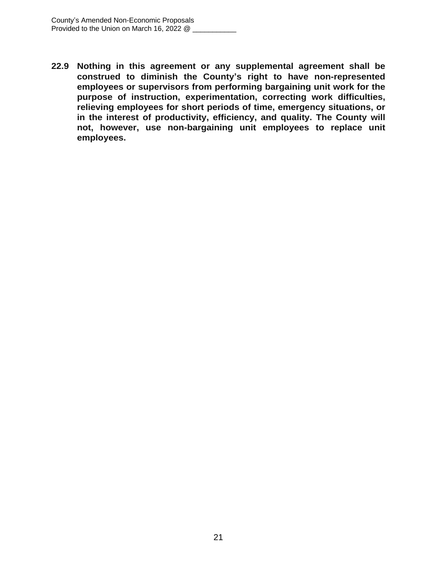**22.9 Nothing in this agreement or any supplemental agreement shall be construed to diminish the County's right to have non-represented employees or supervisors from performing bargaining unit work for the purpose of instruction, experimentation, correcting work difficulties, relieving employees for short periods of time, emergency situations, or in the interest of productivity, efficiency, and quality. The County will not, however, use non-bargaining unit employees to replace unit employees.**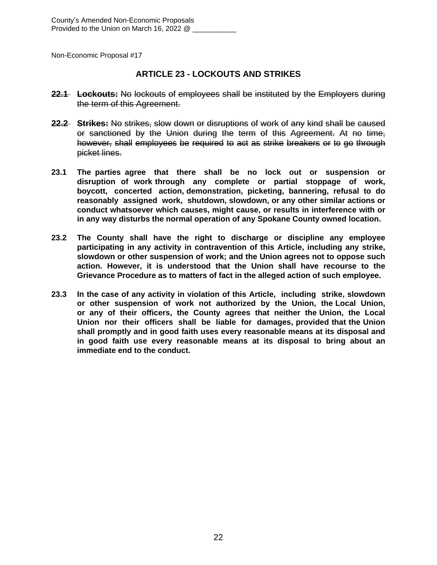## **ARTICLE 23 - LOCKOUTS AND STRIKES**

- **22.1 Lockouts:** No lockouts of employees shall be instituted by the Employers during the term of this Agreement.
- **22.2 Strikes:** No strikes, slow down or disruptions of work of any kind shall be caused or sanctioned by the Union during the term of this Agreement. At no time, however, shall employees be required to act as strike breakers or to go through picket lines.
- **23.1 The parties agree that there shall be no lock out or suspension or disruption of work through any complete or partial stoppage of work, boycott, concerted action, demonstration, picketing, bannering, refusal to do reasonably assigned work, shutdown, slowdown, or any other similar actions or conduct whatsoever which causes, might cause, or results in interference with or in any way disturbs the normal operation of any Spokane County owned location.**
- **23.2 The County shall have the right to discharge or discipline any employee participating in any activity in contravention of this Article, including any strike, slowdown or other suspension of work; and the Union agrees not to oppose such action. However, it is understood that the Union shall have recourse to the Grievance Procedure as to matters of fact in the alleged action of such employee.**
- **23.3 In the case of any activity in violation of this Article, including strike, slowdown or other suspension of work not authorized by the Union, the Local Union, or any of their officers, the County agrees that neither the Union, the Local Union nor their officers shall be liable for damages, provided that the Union shall promptly and in good faith uses every reasonable means at its disposal and in good faith use every reasonable means at its disposal to bring about an immediate end to the conduct.**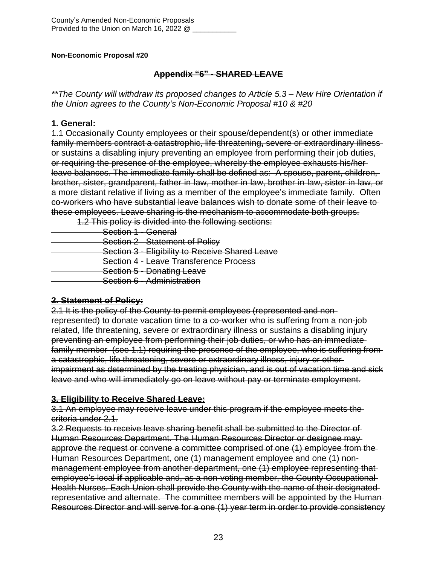## **Appendix "6" - SHARED LEAVE**

*\*\*The County will withdraw its proposed changes to Article 5.3 – New Hire Orientation if the Union agrees to the County's Non-Economic Proposal #10 & #20*

## **1. General:**

1.1 Occasionally County employees or their spouse/dependent(s) or other immediate family members contract a catastrophic, life threatening**,** severe or extraordinary illness or sustains a disabling injury preventing an employee from performing their job duties, or requiring the presence of the employee, whereby the employee exhausts his/her leave balances. The immediate family shall be defined as: A spouse, parent, children, brother, sister, grandparent, father-in-law, mother-in-law, brother-in-law, sister-in-law, or a more distant relative if living as a member of the employee's immediate family. Often co-workers who have substantial leave balances wish to donate some of their leave to these employees. Leave sharing is the mechanism to accommodate both groups.

1.2 This policy is divided into the following sections:

Section 1 - General **Section 2 - Statement of Policy Section 3 - Eligibility to Receive Shared Leave Section 4 - Leave Transference Process**  Section 5 - Donating Leave Section 6 - Administration

## **2. Statement of Policy:**

2.1 It is the policy of the County to permit employees (represented and nonrepresented) to donate vacation time to a co-worker who is suffering from a non-job related, life threatening, severe or extraordinary illness or sustains a disabling injury preventing an employee from performing their job duties, or who has an immediate family member (see 1.1) requiring the presence of the employee, who is suffering from a catastrophic, life threatening, severe or extraordinary illness, injury or other impairment as determined by the treating physician, and is out of vacation time and sick leave and who will immediately go on leave without pay or terminate employment.

## **3. Eligibility to Receive Shared Leave:**

3.1 An employee may receive leave under this program if the employee meets the criteria under 2.1.

3.2 Requests to receive leave sharing benefit shall be submitted to the Director of Human Resources Department. The Human Resources Director or designee may approve the request or convene a committee comprised of one (1) employee from the Human Resources Department, one (1) management employee and one (1) nonmanagement employee from another department, one (1) employee representing that employee's local **if** applicable and, as a non-voting member, the County Occupational Health Nurses. Each Union shall provide the County with the name of their designated representative and alternate. The committee members will be appointed by the Human Resources Director and will serve for a one (1) year term in order to provide consistency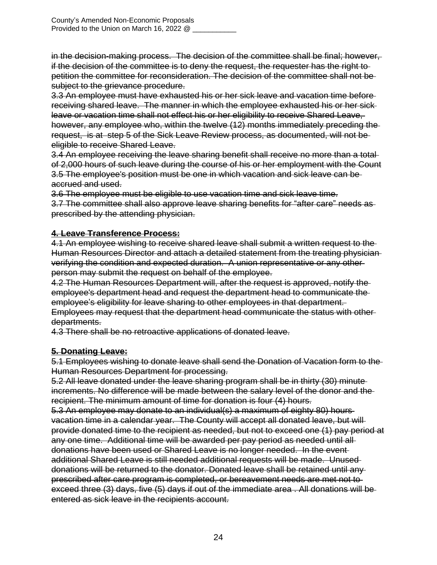in the decision-making process. The decision of the committee shall be final; however, if the decision of the committee is to deny the request, the requester has the right to petition the committee for reconsideration. The decision of the committee shall not be subject to the grievance procedure.

3.3 An employee must have exhausted his or her sick leave and vacation time before receiving shared leave. The manner in which the employee exhausted his or her sick leave or vacation time shall not effect his or her eligibility to receive Shared Leave, however, any employee who, within the twelve (12) months immediately preceding the request, is at step 5 of the Sick Leave Review process, as documented, will not be eligible to receive Shared Leave.

3.4 An employee receiving the leave sharing benefit shall receive no more than a total of 2,000 hours of such leave during the course of his or her employment with the Count 3.5 The employee's position must be one in which vacation and sick leave can be accrued and used.

3.6 The employee must be eligible to use vacation time and sick leave time.

3.7 The committee shall also approve leave sharing benefits for "after care" needs as prescribed by the attending physician.

## **4. Leave Transference Process:**

4.1 An employee wishing to receive shared leave shall submit a written request to the Human Resources Director and attach a detailed statement from the treating physician verifying the condition and expected duration. A union representative or any other person may submit the request on behalf of the employee.

4.2 The Human Resources Department will, after the request is approved, notify the employee's department head and request the department head to communicate the employee's eligibility for leave sharing to other employees in that department. Employees may request that the department head communicate the status with other departments.

4.3 There shall be no retroactive applications of donated leave.

## **5. Donating Leave:**

5.1 Employees wishing to donate leave shall send the Donation of Vacation form to the Human Resources Department for processing.

5.2 All leave donated under the leave sharing program shall be in thirty (30) minute increments. No difference will be made between the salary level of the donor and the recipient. The minimum amount of time for donation is four (4) hours.

5.3 An employee may donate to an individual(s) a maximum of eighty 80) hours vacation time in a calendar year. The County will accept all donated leave, but will provide donated time to the recipient as needed, but not to exceed one (1) pay period at any one time. Additional time will be awarded per pay period as needed until all donations have been used or Shared Leave is no longer needed. In the event additional Shared Leave is still needed additional requests will be made. Unused donations will be returned to the donator. Donated leave shall be retained until any prescribed after care program is completed, or bereavement needs are met not to exceed three (3) days, five (5) days if out of the immediate area . All donations will be entered as sick leave in the recipients account.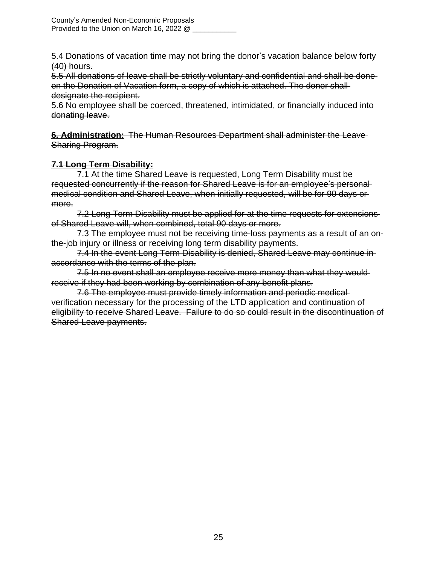5.4 Donations of vacation time may not bring the donor's vacation balance below forty (40) hours.

5.5 All donations of leave shall be strictly voluntary and confidential and shall be done on the Donation of Vacation form, a copy of which is attached. The donor shall designate the recipient.

5.6 No employee shall be coerced, threatened, intimidated, or financially induced into donating leave.

**6. Administration:** The Human Resources Department shall administer the Leave Sharing Program.

## **7.1 Long Term Disability:**

 7.1 At the time Shared Leave is requested, Long Term Disability must be requested concurrently if the reason for Shared Leave is for an employee's personal medical condition and Shared Leave, when initially requested, will be for 90 days or more.

7.2 Long Term Disability must be applied for at the time requests for extensions of Shared Leave will, when combined, total 90 days or more.

7.3 The employee must not be receiving time-loss payments as a result of an onthe-job injury or illness or receiving long term disability payments.

7.4 In the event Long Term Disability is denied, Shared Leave may continue in accordance with the terms of the plan.

7.5 In no event shall an employee receive more money than what they wouldreceive if they had been working by combination of any benefit plans.

7.6 The employee must provide timely information and periodic medical verification necessary for the processing of the LTD application and continuation of eligibility to receive Shared Leave. Failure to do so could result in the discontinuation of Shared Leave payments.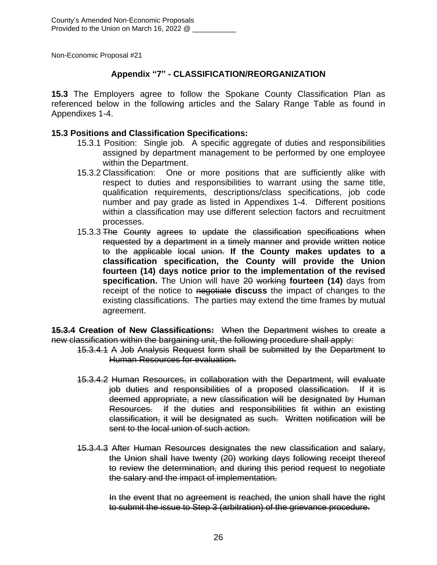## **Appendix "7" - CLASSIFICATION/REORGANIZATION**

**15.3** The Employers agree to follow the Spokane County Classification Plan as referenced below in the following articles and the Salary Range Table as found in Appendixes 1-4.

#### **15.3 Positions and Classification Specifications:**

- 15.3.1 Position: Single job. A specific aggregate of duties and responsibilities assigned by department management to be performed by one employee within the Department.
- 15.3.2 Classification: One or more positions that are sufficiently alike with respect to duties and responsibilities to warrant using the same title, qualification requirements, descriptions/class specifications, job code number and pay grade as listed in Appendixes 1-4. Different positions within a classification may use different selection factors and recruitment processes.
- 15.3.3 The County agrees to update the classification specifications when requested by a department in a timely manner and provide written notice to the applicable local union. **If the County makes updates to a classification specification, the County will provide the Union fourteen (14) days notice prior to the implementation of the revised specification.** The Union will have 20 working **fourteen (14)** days from receipt of the notice to negotiate **discuss** the impact of changes to the existing classifications. The parties may extend the time frames by mutual agreement.

**15.3.4 Creation of New Classifications:** When the Department wishes to create a new classification within the bargaining unit, the following procedure shall apply:

- 15.3.4.1 A Job Analysis Request form shall be submitted by the Department to Human Resources for evaluation.
- 15.3.4.2 Human Resources, in collaboration with the Department, will evaluate job duties and responsibilities of a proposed classification. If it is deemed appropriate, a new classification will be designated by Human Resources. If the duties and responsibilities fit within an existing classification, it will be designated as such. Written notification will be sent to the local union of such action.
- 15.3.4.3 After Human Resources designates the new classification and salary, the Union shall have twenty (20) working days following receipt thereof to review the determination, and during this period request to negotiate the salary and the impact of implementation.

In the event that no agreement is reached, the union shall have the right to submit the issue to Step 3 (arbitration) of the grievance procedure.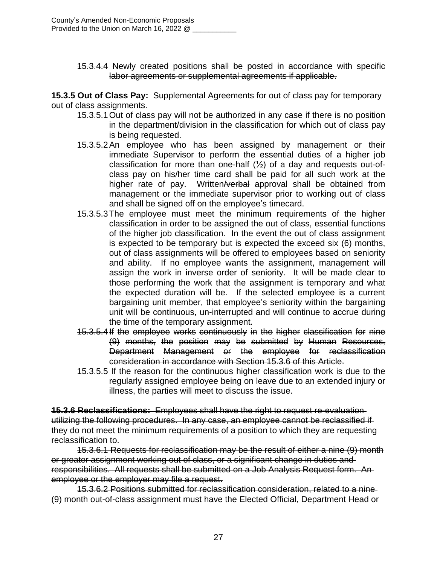15.3.4.4 Newly created positions shall be posted in accordance with specific labor agreements or supplemental agreements if applicable.

**15.3.5 Out of Class Pay:** Supplemental Agreements for out of class pay for temporary out of class assignments.

- 15.3.5.1Out of class pay will not be authorized in any case if there is no position in the department/division in the classification for which out of class pay is being requested.
- 15.3.5.2An employee who has been assigned by management or their immediate Supervisor to perform the essential duties of a higher job classification for more than one-half  $(\frac{1}{2})$  of a day and requests out-ofclass pay on his/her time card shall be paid for all such work at the higher rate of pay. Written/verbal approval shall be obtained from management or the immediate supervisor prior to working out of class and shall be signed off on the employee's timecard.
- 15.3.5.3The employee must meet the minimum requirements of the higher classification in order to be assigned the out of class, essential functions of the higher job classification. In the event the out of class assignment is expected to be temporary but is expected the exceed six (6) months, out of class assignments will be offered to employees based on seniority and ability. If no employee wants the assignment, management will assign the work in inverse order of seniority. It will be made clear to those performing the work that the assignment is temporary and what the expected duration will be. If the selected employee is a current bargaining unit member, that employee's seniority within the bargaining unit will be continuous, un-interrupted and will continue to accrue during the time of the temporary assignment.
- 15.3.5.4If the employee works continuously in the higher classification for nine (9) months, the position may be submitted by Human Resources, Department Management or the employee for reclassification consideration in accordance with Section 15.3.6 of this Article.
- 15.3.5.5 If the reason for the continuous higher classification work is due to the regularly assigned employee being on leave due to an extended injury or illness, the parties will meet to discuss the issue.

**15.3.6 Reclassifications:** Employees shall have the right to request re-evaluation utilizing the following procedures. In any case, an employee cannot be reclassified if they do not meet the minimum requirements of a position to which they are requesting reclassification to.

15.3.6.1 Requests for reclassification may be the result of either a nine (9) month or greater assignment working out of class, or a significant change in duties and responsibilities. All requests shall be submitted on a Job Analysis Request form. An employee or the employer may file a request.

15.3.6.2 Positions submitted for reclassification consideration, related to a nine (9) month out-of-class assignment must have the Elected Official, Department Head or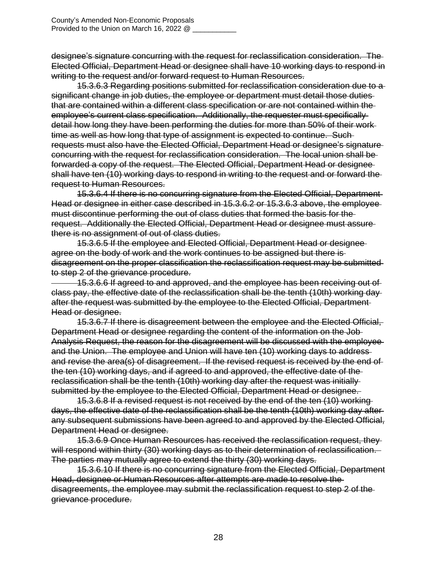designee's signature concurring with the request for reclassification consideration. The Elected Official, Department Head or designee shall have 10 working days to respond in writing to the request and/or forward request to Human Resources.

15.3.6.3 Regarding positions submitted for reclassification consideration due to a significant change in job duties, the employee or department must detail those duties that are contained within a different class specification or are not contained within the employee's current class specification. Additionally, the requester must specifically detail how long they have been performing the duties for more than 50% of their work time as well as how long that type of assignment is expected to continue. Such requests must also have the Elected Official, Department Head or designee's signature concurring with the request for reclassification consideration. The local union shall be forwarded a copy of the request. The Elected Official, Department Head or designee shall have ten (10) working days to respond in writing to the request and or forward the request to Human Resources.

15.3.6.4 If there is no concurring signature from the Elected Official, Department Head or designee in either case described in 15.3.6.2 or 15.3.6.3 above, the employee must discontinue performing the out of class duties that formed the basis for the request. Additionally the Elected Official, Department Head or designee must assure there is no assignment of out of class duties.

15.3.6.5 If the employee and Elected Official, Department Head or designee agree on the body of work and the work continues to be assigned but there is disagreement on the proper classification the reclassification request may be submitted to step 2 of the grievance procedure.

 15.3.6.6 If agreed to and approved, and the employee has been receiving out of class pay, the effective date of the reclassification shall be the tenth (10th) working day after the request was submitted by the employee to the Elected Official, Department Head or designee.

15.3.6.7 If there is disagreement between the employee and the Elected Official, Department Head or designee regarding the content of the information on the Job Analysis Request, the reason for the disagreement will be discussed with the employee and the Union. The employee and Union will have ten (10) working days to address and revise the area(s) of disagreement. If the revised request is received by the end of the ten (10) working days, and if agreed to and approved, the effective date of the reclassification shall be the tenth (10th) working day after the request was initially submitted by the employee to the Elected Official, Department Head or designee.

15.3.6.8 If a revised request is not received by the end of the ten (10) working days, the effective date of the reclassification shall be the tenth (10th) working day after any subsequent submissions have been agreed to and approved by the Elected Official, Department Head or designee.

15.3.6.9 Once Human Resources has received the reclassification request, they will respond within thirty (30) working days as to their determination of reclassification. The parties may mutually agree to extend the thirty (30) working days.

15.3.6.10 If there is no concurring signature from the Elected Official, Department Head, designee or Human Resources after attempts are made to resolve the disagreements, the employee may submit the reclassification request to step 2 of the grievance procedure.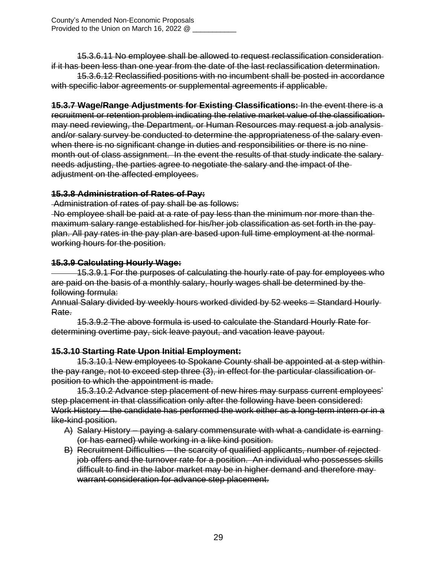15.3.6.11 No employee shall be allowed to request reclassification consideration if it has been less than one year from the date of the last reclassification determination.

15.3.6.12 Reclassified positions with no incumbent shall be posted in accordance with specific labor agreements or supplemental agreements if applicable.

**15.3.7 Wage/Range Adjustments for Existing Classifications:** In the event there is a recruitment or retention problem indicating the relative market value of the classification may need reviewing, the Department*,* or Human Resources may request a job analysis and/or salary survey be conducted to determine the appropriateness of the salary even when there is no significant change in duties and responsibilities or there is no ninemonth out of class assignment. In the event the results of that study indicate the salary needs adjusting, the parties agree to negotiate the salary and the impact of the adjustment on the affected employees.

## **15.3.8 Administration of Rates of Pay:**

Administration of rates of pay shall be as follows:

No employee shall be paid at a rate of pay less than the minimum nor more than the maximum salary range established for his/her job classification as set forth in the pay plan. All pay rates in the pay plan are based upon full time employment at the normal working hours for the position.

## **15.3.9 Calculating Hourly Wage:**

 15.3.9.1 For the purposes of calculating the hourly rate of pay for employees who are paid on the basis of a monthly salary, hourly wages shall be determined by the following formula:

Annual Salary divided by weekly hours worked divided by 52 weeks = Standard Hourly Rate.

15.3.9.2 The above formula is used to calculate the Standard Hourly Rate for determining overtime pay, sick leave payout, and vacation leave payout.

## **15.3.10 Starting Rate Upon Initial Employment:**

15.3.10.1 New employees to Spokane County shall be appointed at a step within the pay range, not to exceed step three (3), in effect for the particular classification or position to which the appointment is made.

15.3.10.2 Advance step placement of new hires may surpass current employees' step placement in that classification only after the following have been considered: Work History – the candidate has performed the work either as a long-term intern or in a like-kind position.

- A) Salary History paying a salary commensurate with what a candidate is earning (or has earned) while working in a like kind position.
- B) Recruitment Difficulties the scarcity of qualified applicants, number of rejected job offers and the turnover rate for a position. An individual who possesses skills difficult to find in the labor market may be in higher demand and therefore may warrant consideration for advance step placement.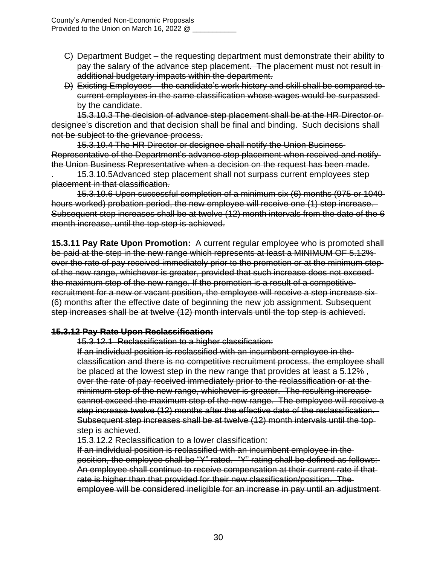- C) Department Budget the requesting department must demonstrate their ability to pay the salary of the advance step placement. The placement must not result in additional budgetary impacts within the department.
- D) Existing Employees the candidate's work history and skill shall be compared to current employees in the same classification whose wages would be surpassed by the candidate.

15.3.10.3 The decision of advance step placement shall be at the HR Director or designee's discretion and that decision shall be final and binding. Such decisions shall not be subject to the grievance process.

15.3.10.4 The HR Director or designee shall notify the Union Business Representative of the Department's advance step placement when received and notify the Union Business Representative when a decision on the request has been made.

. 15.3.10.5Advanced step placement shall not surpass current employees step placement in that classification.

15.3.10.6 Upon successful completion of a minimum six (6) months (975 or 1040 hours worked) probation period, the new employee will receive one (1) step increase. Subsequent step increases shall be at twelve (12) month intervals from the date of the 6 month increase, until the top step is achieved.

**15.3.11 Pay Rate Upon Promotion:** A current regular employee who is promoted shall be paid at the step in the new range which represents at least a MINIMUM OF 5.12% over the rate of pay received immediately prior to the promotion or at the minimum step of the new range, whichever is greater, provided that such increase does not exceed the maximum step of the new range. If the promotion is a result of a competitive recruitment for a new or vacant position, the employee will receive a step increase six (6) months after the effective date of beginning the new job assignment. Subsequent step increases shall be at twelve (12) month intervals until the top step is achieved.

## **15.3.12 Pay Rate Upon Reclassification:**

15.3.12.1 Reclassification to a higher classification:

If an individual position is reclassified with an incumbent employee in the classification and there is no competitive recruitment process, the employee shall be placed at the lowest step in the new range that provides at least a 5.12%, over the rate of pay received immediately prior to the reclassification or at the minimum step of the new range, whichever is greater. The resulting increase cannot exceed the maximum step of the new range. The employee will receive a step increase twelve (12) months after the effective date of the reclassification. Subsequent step increases shall be at twelve (12) month intervals until the top step is achieved.

15.3.12.2 Reclassification to a lower classification:

If an individual position is reclassified with an incumbent employee in the position, the employee shall be "Y" rated. "Y" rating shall be defined as follows: An employee shall continue to receive compensation at their current rate if that rate is higher than that provided for their new classification/position. The employee will be considered ineligible for an increase in pay until an adjustment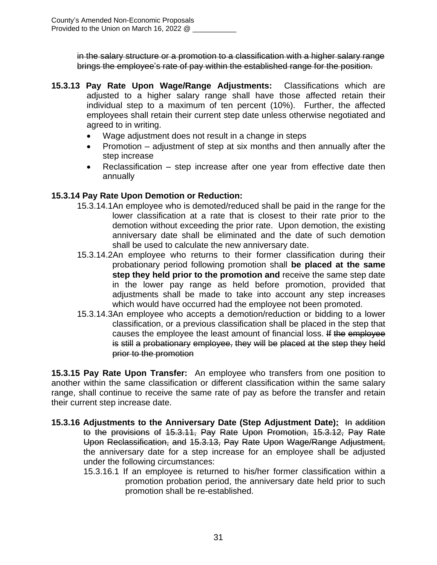in the salary structure or a promotion to a classification with a higher salary range brings the employee's rate of pay within the established range for the position.

- **15.3.13 Pay Rate Upon Wage/Range Adjustments:** Classifications which are adjusted to a higher salary range shall have those affected retain their individual step to a maximum of ten percent (10%). Further, the affected employees shall retain their current step date unless otherwise negotiated and agreed to in writing.
	- Wage adjustment does not result in a change in steps
	- Promotion  $-$  adjustment of step at six months and then annually after the step increase
	- Reclassification step increase after one year from effective date then annually

## **15.3.14 Pay Rate Upon Demotion or Reduction:**

- 15.3.14.1An employee who is demoted/reduced shall be paid in the range for the lower classification at a rate that is closest to their rate prior to the demotion without exceeding the prior rate. Upon demotion, the existing anniversary date shall be eliminated and the date of such demotion shall be used to calculate the new anniversary date.
- 15.3.14.2An employee who returns to their former classification during their probationary period following promotion shall **be placed at the same step they held prior to the promotion and** receive the same step date in the lower pay range as held before promotion, provided that adjustments shall be made to take into account any step increases which would have occurred had the employee not been promoted.
- 15.3.14.3An employee who accepts a demotion/reduction or bidding to a lower classification, or a previous classification shall be placed in the step that causes the employee the least amount of financial loss. If the employee is still a probationary employee, they will be placed at the step they held prior to the promotion

**15.3.15 Pay Rate Upon Transfer:** An employee who transfers from one position to another within the same classification or different classification within the same salary range, shall continue to receive the same rate of pay as before the transfer and retain their current step increase date.

- **15.3.16 Adjustments to the Anniversary Date (Step Adjustment Date):** In addition to the provisions of 15.3.11, Pay Rate Upon Promotion, 15.3.12, Pay Rate Upon Reclassification, and 15.3.13, Pay Rate Upon Wage/Range Adjustment, the anniversary date for a step increase for an employee shall be adjusted under the following circumstances:
	- 15.3.16.1 If an employee is returned to his/her former classification within a promotion probation period, the anniversary date held prior to such promotion shall be re-established.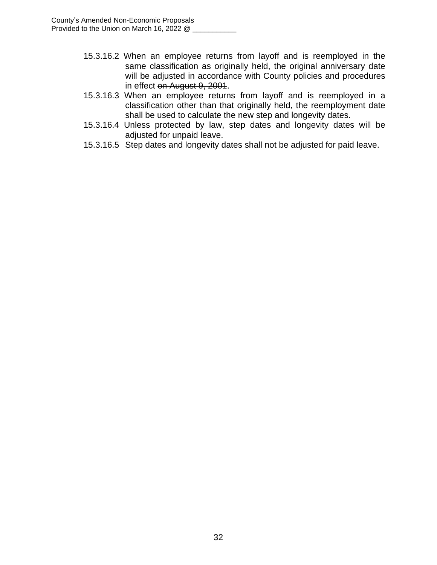- 15.3.16.2 When an employee returns from layoff and is reemployed in the same classification as originally held, the original anniversary date will be adjusted in accordance with County policies and procedures in effect on August 9, 2001.
- 15.3.16.3 When an employee returns from layoff and is reemployed in a classification other than that originally held, the reemployment date shall be used to calculate the new step and longevity dates.
- 15.3.16.4 Unless protected by law, step dates and longevity dates will be adjusted for unpaid leave.
- 15.3.16.5 Step dates and longevity dates shall not be adjusted for paid leave.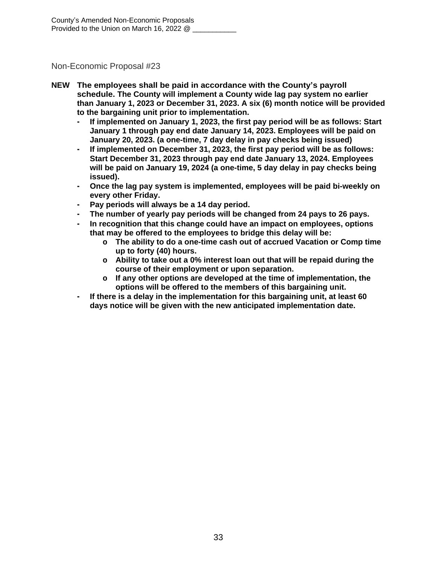- **NEW The employees shall be paid in accordance with the County's payroll schedule. The County will implement a County wide lag pay system no earlier than January 1, 2023 or December 31, 2023. A six (6) month notice will be provided to the bargaining unit prior to implementation.**
	- **- If implemented on January 1, 2023, the first pay period will be as follows: Start January 1 through pay end date January 14, 2023. Employees will be paid on January 20, 2023. (a one-time, 7 day delay in pay checks being issued)**
	- **- If implemented on December 31, 2023, the first pay period will be as follows: Start December 31, 2023 through pay end date January 13, 2024. Employees will be paid on January 19, 2024 (a one-time, 5 day delay in pay checks being issued).**
	- **- Once the lag pay system is implemented, employees will be paid bi-weekly on every other Friday.**
	- **- Pay periods will always be a 14 day period.**
	- **- The number of yearly pay periods will be changed from 24 pays to 26 pays.**
	- **- In recognition that this change could have an impact on employees, options that may be offered to the employees to bridge this delay will be:**
		- **o The ability to do a one-time cash out of accrued Vacation or Comp time up to forty (40) hours.**
		- **o Ability to take out a 0% interest loan out that will be repaid during the course of their employment or upon separation.**
		- **o If any other options are developed at the time of implementation, the options will be offered to the members of this bargaining unit.**
	- **- If there is a delay in the implementation for this bargaining unit, at least 60 days notice will be given with the new anticipated implementation date.**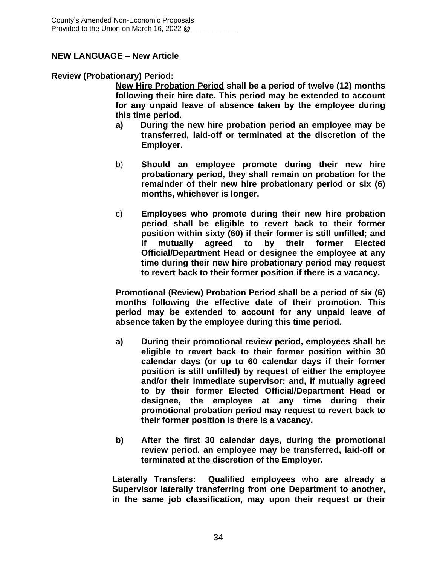## **NEW LANGUAGE – New Article**

#### **Review (Probationary) Period:**

**New Hire Probation Period shall be a period of twelve (12) months following their hire date. This period may be extended to account for any unpaid leave of absence taken by the employee during this time period.**

- **a) During the new hire probation period an employee may be transferred, laid-off or terminated at the discretion of the Employer.**
- b) **Should an employee promote during their new hire probationary period, they shall remain on probation for the remainder of their new hire probationary period or six (6) months, whichever is longer.**
- c) **Employees who promote during their new hire probation period shall be eligible to revert back to their former position within sixty (60) if their former is still unfilled; and if mutually agreed to by their former Elected Official/Department Head or designee the employee at any time during their new hire probationary period may request to revert back to their former position if there is a vacancy.**

**Promotional (Review) Probation Period shall be a period of six (6) months following the effective date of their promotion. This period may be extended to account for any unpaid leave of absence taken by the employee during this time period.**

- **a) During their promotional review period, employees shall be eligible to revert back to their former position within 30 calendar days (or up to 60 calendar days if their former position is still unfilled) by request of either the employee and/or their immediate supervisor; and, if mutually agreed to by their former Elected Official/Department Head or designee, the employee at any time during their promotional probation period may request to revert back to their former position is there is a vacancy.**
- **b) After the first 30 calendar days, during the promotional review period, an employee may be transferred, laid-off or terminated at the discretion of the Employer.**

**Laterally Transfers: Qualified employees who are already a Supervisor laterally transferring from one Department to another, in the same job classification, may upon their request or their**